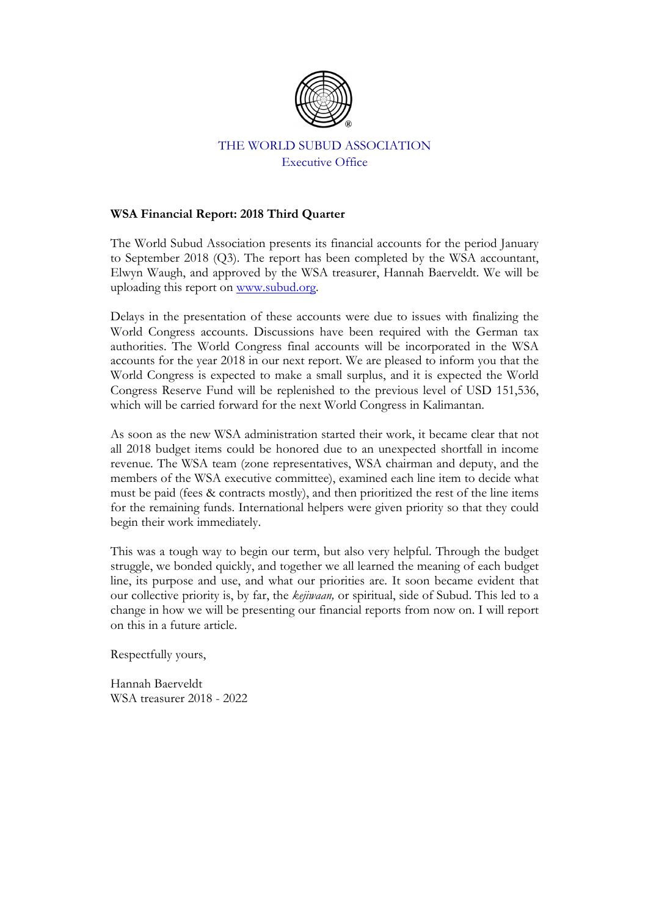

# THE WORLD SUBUD ASSOCIATION Executive Office

## **WSA Financial Report: 2018 Third Quarter**

The World Subud Association presents its financial accounts for the period January to September 2018 (Q3). The report has been completed by the WSA accountant, Elwyn Waugh, and approved by the WSA treasurer, Hannah Baerveldt. We will be uploading this report on www.subud.org.

Delays in the presentation of these accounts were due to issues with finalizing the World Congress accounts. Discussions have been required with the German tax authorities. The World Congress final accounts will be incorporated in the WSA accounts for the year 2018 in our next report. We are pleased to inform you that the World Congress is expected to make a small surplus, and it is expected the World Congress Reserve Fund will be replenished to the previous level of USD 151,536, which will be carried forward for the next World Congress in Kalimantan.

As soon as the new WSA administration started their work, it became clear that not all 2018 budget items could be honored due to an unexpected shortfall in income revenue. The WSA team (zone representatives, WSA chairman and deputy, and the members of the WSA executive committee), examined each line item to decide what must be paid (fees & contracts mostly), and then prioritized the rest of the line items for the remaining funds. International helpers were given priority so that they could begin their work immediately.

This was a tough way to begin our term, but also very helpful. Through the budget struggle, we bonded quickly, and together we all learned the meaning of each budget line, its purpose and use, and what our priorities are. It soon became evident that our collective priority is, by far, the *kejiwaan,* or spiritual, side of Subud. This led to a change in how we will be presenting our financial reports from now on. I will report on this in a future article.

Respectfully yours,

Hannah Baerveldt WSA treasurer 2018 - 2022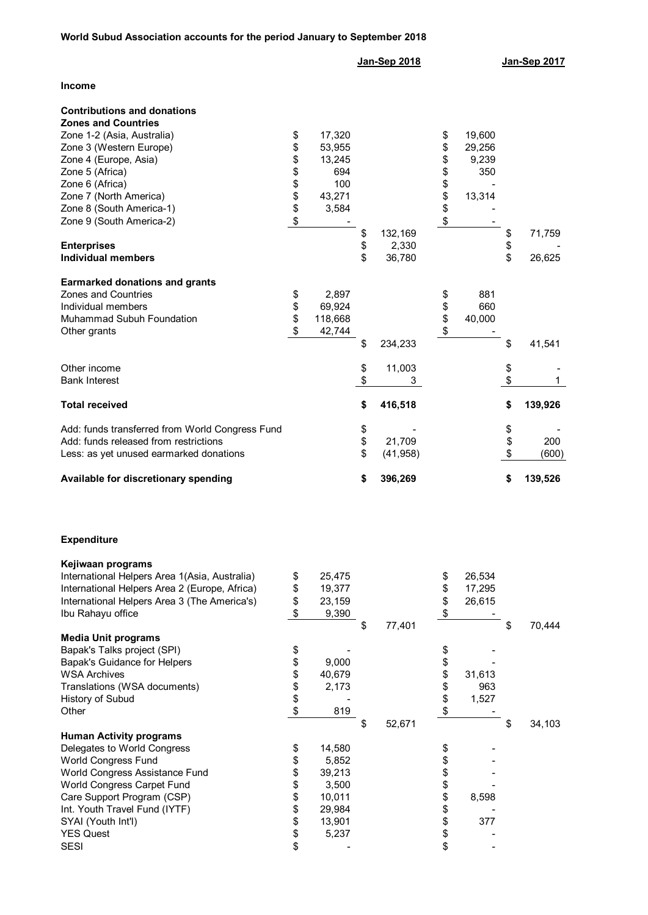|                                                                                                                                                                                                                                                                              |                                                    |                                                                           | Jan-Sep 2018   |                            |                                                    |                                            | Jan-Sep 2017   |                  |  |
|------------------------------------------------------------------------------------------------------------------------------------------------------------------------------------------------------------------------------------------------------------------------------|----------------------------------------------------|---------------------------------------------------------------------------|----------------|----------------------------|----------------------------------------------------|--------------------------------------------|----------------|------------------|--|
| Income                                                                                                                                                                                                                                                                       |                                                    |                                                                           |                |                            |                                                    |                                            |                |                  |  |
| <b>Contributions and donations</b><br><b>Zones and Countries</b><br>Zone 1-2 (Asia, Australia)<br>Zone 3 (Western Europe)<br>Zone 4 (Europe, Asia)<br>Zone 5 (Africa)<br>Zone 6 (Africa)<br>Zone 7 (North America)<br>Zone 8 (South America-1)<br>Zone 9 (South America-2)   | \$<br>\$<br>\$<br>\$<br>\$<br>\$<br>\$<br>\$       | 17,320<br>53,955<br>13,245<br>694<br>100<br>43,271<br>3,584               |                |                            | \$<br>\$<br>\$<br>\$<br>\$<br>\$<br>\$<br>\$       | 19,600<br>29,256<br>9,239<br>350<br>13,314 |                |                  |  |
| <b>Enterprises</b><br><b>Individual members</b>                                                                                                                                                                                                                              |                                                    |                                                                           | \$<br>\$<br>\$ | 132,169<br>2,330<br>36,780 |                                                    |                                            | \$<br>\$<br>\$ | 71,759<br>26,625 |  |
| <b>Earmarked donations and grants</b><br><b>Zones and Countries</b><br>Individual members<br>Muhammad Subuh Foundation<br>Other grants                                                                                                                                       | \$<br>\$<br>\$<br>\$                               | 2,897<br>69,924<br>118,668<br>42,744                                      |                |                            | \$<br>\$<br>\$<br>\$                               | 881<br>660<br>40,000                       |                |                  |  |
|                                                                                                                                                                                                                                                                              |                                                    |                                                                           | \$             | 234,233                    |                                                    |                                            | \$             | 41,541           |  |
| Other income<br><b>Bank Interest</b>                                                                                                                                                                                                                                         |                                                    |                                                                           | \$<br>\$       | 11,003<br>3                |                                                    |                                            | \$<br>\$       | 1                |  |
| <b>Total received</b>                                                                                                                                                                                                                                                        |                                                    |                                                                           | \$             | 416,518                    |                                                    |                                            | \$             | 139,926          |  |
| Add: funds transferred from World Congress Fund<br>Add: funds released from restrictions<br>Less: as yet unused earmarked donations                                                                                                                                          |                                                    |                                                                           | \$<br>\$<br>\$ | 21,709<br>(41, 958)        |                                                    |                                            | \$<br>\$<br>\$ | 200<br>(600)     |  |
| Available for discretionary spending                                                                                                                                                                                                                                         |                                                    |                                                                           | \$             | 396,269                    |                                                    |                                            | \$             | 139,526          |  |
| <b>Expenditure</b>                                                                                                                                                                                                                                                           |                                                    |                                                                           |                |                            |                                                    |                                            |                |                  |  |
| Kejiwaan programs<br>International Helpers Area 1(Asia, Australia)<br>International Helpers Area 2 (Europe, Africa)<br>International Helpers Area 3 (The America's)<br>Ibu Rahayu office                                                                                     | \$<br>\$<br>\$<br>\$                               | 25,475<br>19,377<br>23,159<br>9,390                                       |                |                            | \$<br>\$<br>\$<br>\$                               | 26,534<br>17,295<br>26,615                 |                |                  |  |
| <b>Media Unit programs</b><br>Bapak's Talks project (SPI)<br><b>Bapak's Guidance for Helpers</b><br><b>WSA Archives</b><br>Translations (WSA documents)<br>History of Subud<br>Other                                                                                         | \$<br>\$<br>\$<br>\$<br>\$                         | 9,000<br>40,679<br>2,173<br>819                                           | \$             | 77,401                     | \$<br>\$<br>\$<br>\$<br>\$<br>\$                   | 31,613<br>963<br>1,527                     | \$             | 70,444           |  |
| <b>Human Activity programs</b><br>Delegates to World Congress<br>World Congress Fund<br>World Congress Assistance Fund<br>World Congress Carpet Fund<br>Care Support Program (CSP)<br>Int. Youth Travel Fund (IYTF)<br>SYAI (Youth Int'l)<br><b>YES Quest</b><br><b>SESI</b> | \$<br>\$<br>\$<br>\$<br>\$<br>\$<br>\$<br>\$<br>\$ | 14,580<br>5,852<br>39,213<br>3,500<br>10,011<br>29,984<br>13,901<br>5,237 | \$             | 52,671                     | \$<br>\$<br>\$<br>\$<br>\$<br>\$<br>\$<br>\$<br>\$ | 8,598<br>377                               | \$             | 34,103           |  |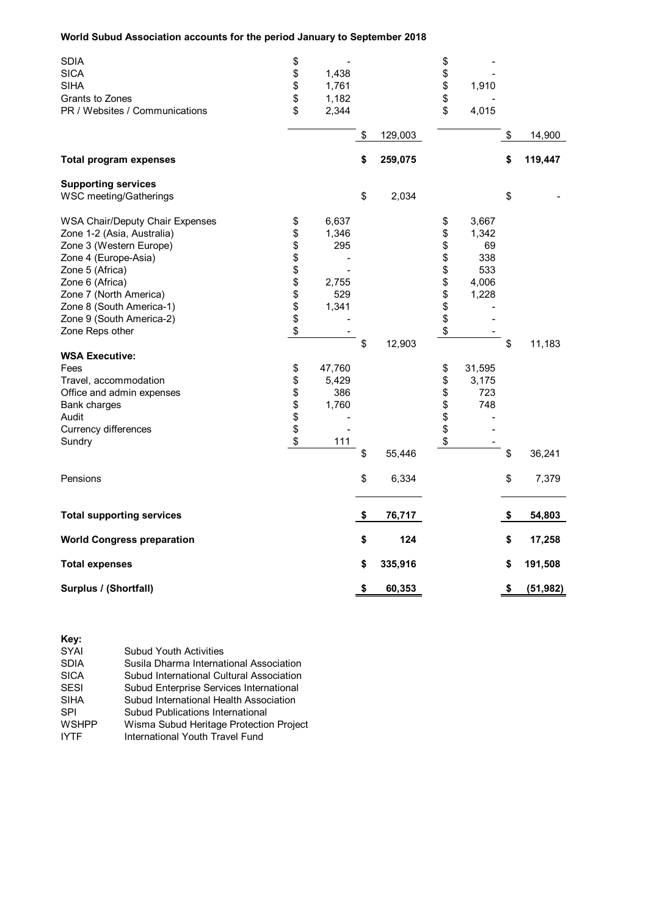### **World Subud Association accounts for the period January to September 2018**

| <b>SDIA</b>                       | \$           |               | \$           |                 |
|-----------------------------------|--------------|---------------|--------------|-----------------|
| <b>SICA</b>                       | \$<br>1,438  |               | \$           |                 |
| <b>SIHA</b>                       | \$<br>1,761  |               | \$<br>1,910  |                 |
| Grants to Zones                   | \$<br>1,182  |               | \$           |                 |
| PR / Websites / Communications    | \$<br>2,344  |               | \$<br>4,015  |                 |
|                                   |              | \$<br>129,003 |              | \$<br>14,900    |
| <b>Total program expenses</b>     |              | \$<br>259,075 |              | \$<br>119,447   |
| <b>Supporting services</b>        |              |               |              |                 |
| WSC meeting/Gatherings            |              | \$<br>2,034   |              | \$              |
| WSA Chair/Deputy Chair Expenses   | \$<br>6,637  |               | \$<br>3,667  |                 |
| Zone 1-2 (Asia, Australia)        | \$<br>1,346  |               | \$<br>1,342  |                 |
| Zone 3 (Western Europe)           | \$<br>295    |               | \$<br>69     |                 |
| Zone 4 (Europe-Asia)              | \$           |               | \$<br>338    |                 |
| Zone 5 (Africa)                   | \$           |               | \$<br>533    |                 |
| Zone 6 (Africa)                   | \$<br>2,755  |               | \$<br>4,006  |                 |
| Zone 7 (North America)            | \$<br>529    |               | \$<br>1,228  |                 |
| Zone 8 (South America-1)          | \$<br>1,341  |               | \$           |                 |
| Zone 9 (South America-2)          | \$           |               | \$           |                 |
| Zone Reps other                   | \$           |               | \$           |                 |
|                                   |              | \$<br>12,903  |              | \$<br>11,183    |
| <b>WSA Executive:</b>             |              |               |              |                 |
| Fees                              | \$<br>47,760 |               | \$<br>31,595 |                 |
| Travel, accommodation             | \$<br>5,429  |               | \$<br>3,175  |                 |
| Office and admin expenses         | \$<br>386    |               | \$<br>723    |                 |
| Bank charges                      | \$<br>1,760  |               | \$<br>748    |                 |
| Audit                             | \$           |               | \$           |                 |
| <b>Currency differences</b>       | \$           |               | \$           |                 |
| Sundry                            | \$<br>111    |               | \$           |                 |
|                                   |              | \$<br>55,446  |              | \$<br>36,241    |
| Pensions                          |              | \$<br>6,334   |              | \$<br>7,379     |
| <b>Total supporting services</b>  |              | \$<br>76,717  |              | \$<br>54,803    |
| <b>World Congress preparation</b> |              | \$<br>124     |              | \$<br>17,258    |
| <b>Total expenses</b>             |              | \$<br>335,916 |              | \$<br>191,508   |
| Surplus / (Shortfall)             |              | \$<br>60,353  |              | \$<br>(51, 982) |

| Key:         |                                          |
|--------------|------------------------------------------|
| SYAI         | <b>Subud Youth Activities</b>            |
| <b>SDIA</b>  | Susila Dharma International Association  |
| <b>SICA</b>  | Subud International Cultural Association |
| <b>SESI</b>  | Subud Enterprise Services International  |
| <b>SIHA</b>  | Subud International Health Association   |
| <b>SPI</b>   | Subud Publications International         |
| <b>WSHPP</b> | Wisma Subud Heritage Protection Project  |
| <b>IYTF</b>  | International Youth Travel Fund          |